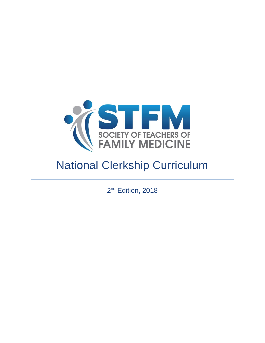

# National Clerkship Curriculum

2<sup>nd</sup> Edition, 2018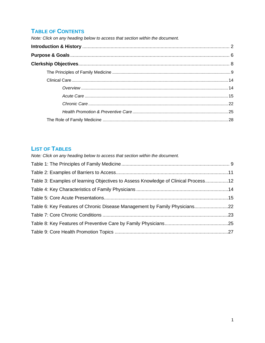### **TABLE OF CONTENTS**

Note: Click on any heading below to access that section within the document.

### **LIST OF TABLES**

| Table 3: Examples of learning Objectives to Assess Knowledge of Clinical Process12 |
|------------------------------------------------------------------------------------|
|                                                                                    |
|                                                                                    |
| Table 6: Key Features of Chronic Disease Management by Family Physicians22         |
|                                                                                    |
|                                                                                    |
|                                                                                    |
|                                                                                    |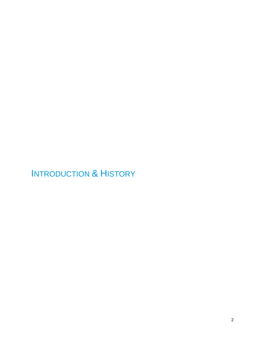# <span id="page-2-0"></span>INTRODUCTION & HISTORY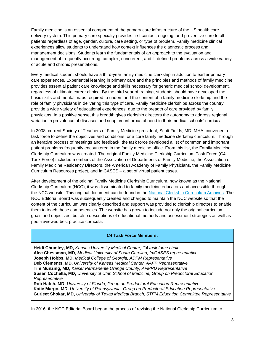Family medicine is an essential component of the primary care infrastructure of the US health care delivery system. This primary care specialty provides first contact, ongoing, and preventive care to all patients regardless of age, gender, culture, care setting, or type of problem. Family medicine clinical experiences allow students to understand how context influences the diagnostic process and management decisions. Students learn the fundamentals of an approach to the evaluation and management of frequently occurring, complex, concurrent, and ill-defined problems across a wide variety of acute and chronic presentations.

Every medical student should have a third-year family medicine clerkship in addition to earlier primary care experiences. Experiential learning in primary care and the principles and methods of family medicine provides essential patient care knowledge and skills necessary for generic medical school development, regardless of ultimate career choice. By the third year of training, students should have developed the basic skills and mental maps required to understand the content of a family medicine clerkship and the role of family physicians in delivering this type of care. Family medicine clerkships across the country provide a wide variety of educational experiences, due to the breadth of care provided by family physicians. In a positive sense, this breadth gives clerkship directors the autonomy to address regional variation in prevalence of diseases and supplement areas of need in their medical schools' curricula.

In 2008, current Society of Teachers of Family Medicine president, Scott Fields, MD, MHA, convened a task force to define the objectives and conditions for a core family medicine clerkship curriculum. Through an iterative process of meetings and feedback, the task force developed a list of common and important patient problems frequently encountered in the family medicine office. From this list, the Family Medicine Clerkship Curriculum was created. The original Family Medicine Clerkship Curriculum Task Force (C4 Task Force) included members of the Association of Departments of Family Medicine, the Association of Family Medicine Residency Directors, the American Academy of Family Physicians, the Family Medicine Curriculum Resources project, and fmCASES – a set of virtual patient cases.

After development of the original Family Medicine Clerkship Curriculum, now known as the National Clerkship Curriculum (NCC), it was disseminated to family medicine educators and accessible through the NCC website. This original document can be found in the [National Clerkship Curriculum Archives.](http://www.stfm.org/LinkClick.aspx?fileticket=upiiuNFp3Vc%3d&tabid=17603&portalid=49) The NCC Editorial Board was subsequently created and charged to maintain the NCC website so that the content of the curriculum was clearly described and support was provided to clerkship directors to enable them to teach these competencies. The website has grown to include not only the original curriculum goals and objectives, but also descriptions of educational methods and assessment strategies as well as peer-reviewed best practice curricula.

#### **C4 Task Force Members:**

**Heidi Chumley, MD,** *Kansas University Medical Center, C4 task force chair* **Alec Chessman, MD,** *Medical University of South Carolina, fmCASES representative* **Joseph Hobbs, MD,** *Medical College of Georgia, ADFM Representative* **Deb Clements, MD,** *University of Kansas Medical Center, AAFP Representative* **Tim Munzing, MD,** *Kaiser Permanente Orange County, AFMRD Representative* **Susan Cochella, MD,** *University of Utah School of Medicine, Group on Predoctoral Education Representative* **Rob Hatch, MD,** *University of Florida, Group on Predoctoral Education Representative*

**Katie Margo, MD,** *University of Pennsylvania, Group on Predoctoral Education Representative* **Gurjeet Shokar, MD,** *University of Texas Medical Branch, STFM Education Committee Representative*

In 2016, the NCC Editorial Board began the process of revising the National Clerkship Curriculum to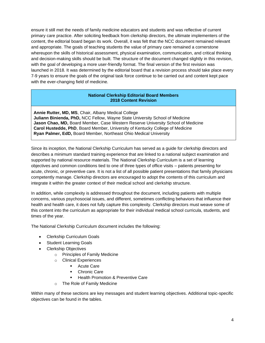ensure it still met the needs of family medicine educators and students and was reflective of current primary care practice. After soliciting feedback from clerkship directors, the ultimate implementers of the content, the editorial board began its work. Overall, it was felt that the NCC document remained relevant and appropriate. The goals of teaching students the value of primary care remained a cornerstone whereupon the skills of historical assessment, physical examination, communication, and critical thinking and decision-making skills should be built. The structure of the document changed slightly in this revision, with the goal of developing a more user-friendly format. The final version of the first revision was launched in 2018. It was determined by the editorial board that a revision process should take place every 7-9 years to ensure the goals of the original task force continue to be carried out and content kept pace with the ever-changing field of medicine.

#### **National Clerkship Editorial Board Members 2018 Content Revision**

**Annie Rutter, MD, MS**, Chair, Albany Medical College **Juliann Binienda, PhD,** NCC Fellow, Wayne State University School of Medicine **Jason Chao, MD,** Board Member, Case Western Reserve University School of Medicine **Carol Hustedde, PhD**, Board Member, University of Kentucky College of Medicine **Ryan Palmer, EdD,** Board Member, Northeast Ohio Medical University

Since its inception, the National Clerkship Curriculum has served as a guide for clerkship directors and describes a minimum standard training experience that are linked to a national subject examination and supported by national resource materials. The National Clerkship Curriculum is a set of learning objectives and common conditions tied to one of three types of office visits – patients presenting for acute, chronic, or preventive care. It is not a list of all possible patient presentations that family physicians competently manage. Clerkship directors are encouraged to adopt the contents of this curriculum and integrate it within the greater context of their medical school and clerkship structure.

In addition, while complexity is addressed throughout the document, including patients with multiple concerns, various psychosocial issues, and different, sometimes conflicting behaviors that influence their health and health care, it does not fully capture this complexity. Clerkship directors must weave some of this content into the curriculum as appropriate for their individual medical school curricula, students, and times of the year.

The National Clerkship Curriculum document includes the following:

- Clerkship Curriculum Goals
- Student Learning Goals
- Clerkship Objectives
	- o Principles of Family Medicine
	- o Clinical Experiences
		- Acute Care
		- **•** Chronic Care
		- **Health Promotion & Preventive Care**
	- o The Role of Family Medicine

Within many of these sections are key messages and student learning objectives. Additional topic-specific objectives can be found in the tables.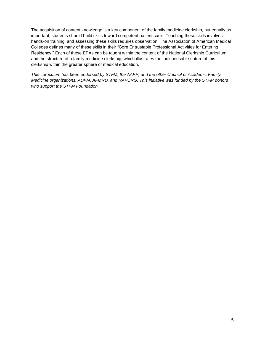The acquisition of content knowledge is a key component of the family medicine clerkship, but equally as important, students should build skills toward competent patient care. Teaching these skills involves hands-on training, and assessing these skills requires observation. The Association of American Medical Colleges defines many of these skills in their "Core Entrustable Professional Activities for Entering Residency." Each of these EPAs can be taught within the content of the National Clerkship Curriculum and the structure of a family medicine clerkship, which illustrates the indispensable nature of this clerkship within the greater sphere of medical education.

*This curriculum has been endorsed by STFM, the AAFP, and the other Council of Academic Family Medicine organizations: ADFM, AFMRD, and NAPCRG. This initiative was funded by the STFM donors who support the STFM Foundation.*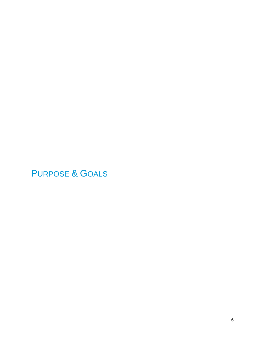<span id="page-6-0"></span>PURPOSE & GOALS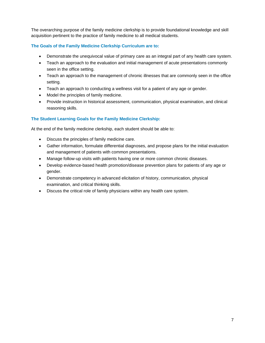The overarching purpose of the family medicine clerkship is to provide foundational knowledge and skill acquisition pertinent to the practice of family medicine to all medical students.

#### **The Goals of the Family Medicine Clerkship Curriculum are to:**

- Demonstrate the unequivocal value of primary care as an integral part of any health care system.
- Teach an approach to the evaluation and initial management of acute presentations commonly seen in the office setting.
- Teach an approach to the management of chronic illnesses that are commonly seen in the office setting.
- Teach an approach to conducting a wellness visit for a patient of any age or gender.
- Model the principles of family medicine.
- Provide instruction in historical assessment, communication, physical examination, and clinical reasoning skills.

#### **The Student Learning Goals for the Family Medicine Clerkship:**

At the end of the family medicine clerkship, each student should be able to:

- Discuss the principles of family medicine care.
- Gather information, formulate differential diagnoses, and propose plans for the initial evaluation and management of patients with common presentations.
- Manage follow-up visits with patients having one or more common chronic diseases.
- Develop evidence-based health promotion/disease prevention plans for patients of any age or gender.
- Demonstrate competency in advanced elicitation of history, communication, physical examination, and critical thinking skills.
- Discuss the critical role of family physicians within any health care system.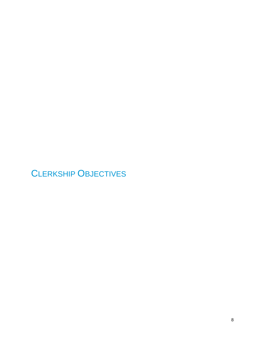# <span id="page-8-0"></span>CLERKSHIP OBJECTIVES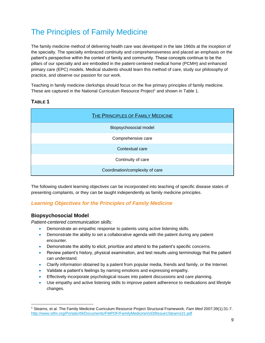## <span id="page-9-0"></span>The Principles of Family Medicine

The family medicine method of delivering health care was developed in the late 1960s at the inception of the specialty. The specialty embraced continuity and comprehensiveness and placed an emphasis on the patient's perspective within the context of family and community. These concepts continue to be the pillars of our specialty and are embodied in the patient-centered medical home (PCMH) and enhanced primary care (EPC) models. Medical students should learn this method of care, study our philosophy of practice, and observe our passion for our work.

Teaching in family medicine clerkships should focus on the five primary principles of family medicine. These are captured in the National Curriculum Resource Project<sup>1</sup> and shown in Table 1.

#### <span id="page-9-1"></span>**TABLE 1**

| THE PRINCIPLES OF FAMILY MEDICINE |  |  |  |
|-----------------------------------|--|--|--|
| Biopsychosocial model             |  |  |  |
| Comprehensive care                |  |  |  |
| Contextual care                   |  |  |  |
| Continuity of care                |  |  |  |
| Coordination/complexity of care   |  |  |  |

The following student learning objectives can be incorporated into teaching of specific disease states of presenting complaints, or they can be taught independently as family medicine principles.

#### *Learning Objectives for the Principles of Family Medicine*

#### **Biopsychosocial Model**

l

*Patient-centered communication skills:*

- Demonstrate an empathic response to patients using active listening skills.
- Demonstrate the ability to set a collaborative agenda with the patient during any patient encounter.
- Demonstrate the ability to elicit, prioritize and attend to the patient's specific concerns.
- Review patient's history, physical examination, and test results using terminology that the patient can understand.
- Clarify information obtained by a patient from popular media, friends and family, or the Internet.
- Validate a patient's feelings by naming emotions and expressing empathy.
- Effectively incorporate psychological issues into patient discussions and care planning.
- Use empathy and active listening skills to improve patient adherence to medications and lifestyle changes.

<sup>1</sup> Stearns, et al. The Family Medicine Curriculum Resource Project Structural Framework. *Fam Med* 2007;39(1):31-7. <http://www.stfm.org/Portals/49/Documents/FMPDF/FamilyMedicineVol39Issue1Stearns31.pdf>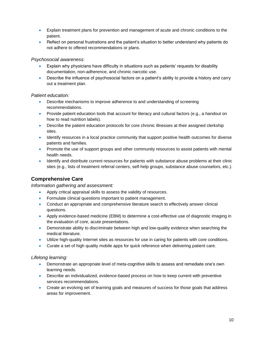- Explain treatment plans for prevention and management of acute and chronic conditions to the patient.
- Reflect on personal frustrations and the patient's situation to better understand why patients do not adhere to offered recommendations or plans.

#### *Psychosocial awareness:*

- Explain why physicians have difficulty in situations such as patients' requests for disability documentation, non-adherence, and chronic narcotic use.
- Describe the influence of psychosocial factors on a patient's ability to provide a history and carry out a treatment plan.

#### *Patient education:*

- Describe mechanisms to improve adherence to and understanding of screening recommendations.
- Provide patient education tools that account for literacy and cultural factors (e.g., a handout on how to read nutrition labels).
- Describe the patient education protocols for core chronic illnesses at their assigned clerkship sites.
- Identify resources in a local practice community that support positive health outcomes for diverse patients and families.
- Promote the use of support groups and other community resources to assist patients with mental health needs.
- Identify and distribute current resources for patients with substance abuse problems at their clinic sites (e.g., lists of treatment referral centers, self-help groups, substance abuse counselors, etc.).

#### **Comprehensive Care**

*Information gathering and assessment:*

- Apply critical appraisal skills to assess the validity of resources.
- Formulate clinical questions important to patient management.
- Conduct an appropriate and comprehensive literature search to effectively answer clinical questions.
- Apply evidence-based medicine (EBM) to determine a cost-effective use of diagnostic imaging in the evaluation of core, acute presentations.
- Demonstrate ability to discriminate between high and low-quality evidence when searching the medical literature.
- Utilize high-quality Internet sites as resources for use in caring for patients with core conditions.
- Curate a set of high quality mobile apps for quick reference when delivering patient care.

#### *Lifelong learning:*

- Demonstrate an appropriate level of meta-cognitive skills to assess and remediate one's own learning needs.
- Describe an individualized, evidence-based process on how to keep current with preventive services recommendations.
- Create an evolving set of learning goals and measures of success for those goals that address areas for improvement.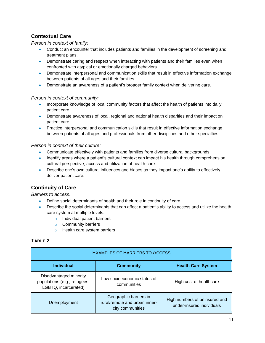#### **Contextual Care**

#### *Person in context of family:*

- Conduct an encounter that includes patients and families in the development of screening and treatment plans.
- Demonstrate caring and respect when interacting with patients and their families even when confronted with atypical or emotionally charged behaviors.
- Demonstrate interpersonal and communication skills that result in effective information exchange between patients of all ages and their families.
- Demonstrate an awareness of a patient's broader family context when delivering care.

#### *Person in context of community:*

- Incorporate knowledge of local community factors that affect the health of patients into daily patient care.
- Demonstrate awareness of local, regional and national health disparities and their impact on patient care.
- Practice interpersonal and communication skills that result in effective information exchange between patients of all ages and professionals from other disciplines and other specialties.

#### *Person in context of their culture:*

- Communicate effectively with patients and families from diverse cultural backgrounds.
- Identify areas where a patient's cultural context can impact his health through comprehension, cultural perspective, access and utilization of health care.
- Describe one's own cultural influences and biases as they impact one's ability to effectively deliver patient care.

#### **Continuity of Care**

*Barriers to access:*

- Define social determinants of health and their role in continuity of care.
- Describe the social determinants that can affect a patient's ability to access and utilize the health care system at multiple levels:
	- o Individual patient barriers
	- o Community barriers
	- o Health care system barriers

#### <span id="page-11-0"></span>**TABLE 2**

| <b>EXAMPLES OF BARRIERS TO ACCESS</b>                                          |                                                                             |                                                            |  |  |  |
|--------------------------------------------------------------------------------|-----------------------------------------------------------------------------|------------------------------------------------------------|--|--|--|
| <b>Health Care System</b><br><b>Individual</b><br><b>Community</b>             |                                                                             |                                                            |  |  |  |
| Disadvantaged minority<br>populations (e.g., refugees,<br>LGBTQ, incarcerated) | Low socioeconomic status of<br>communities                                  | High cost of healthcare                                    |  |  |  |
| Unemployment                                                                   | Geographic barriers in<br>rural/remote and urban inner-<br>city communities | High numbers of uninsured and<br>under-insured individuals |  |  |  |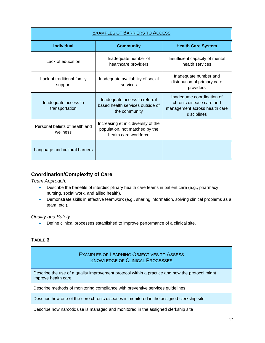| <b>EXAMPLES OF BARRIERS TO ACCESS</b>      |                                                                                               |                                                                                                        |  |  |
|--------------------------------------------|-----------------------------------------------------------------------------------------------|--------------------------------------------------------------------------------------------------------|--|--|
| <b>Individual</b>                          | <b>Community</b>                                                                              | <b>Health Care System</b>                                                                              |  |  |
| Lack of education                          | Inadequate number of<br>healthcare providers                                                  | Insufficient capacity of mental<br>health services                                                     |  |  |
| Lack of traditional family<br>support      | Inadequate availability of social<br>services                                                 | Inadequate number and<br>distribution of primary care<br>providers                                     |  |  |
| Inadequate access to<br>transportation     | Inadequate access to referral<br>based health services outside of<br>the community            | Inadequate coordination of<br>chronic disease care and<br>management across health care<br>disciplines |  |  |
| Personal beliefs of health and<br>wellness | Increasing ethnic diversity of the<br>population, not matched by the<br>health care workforce |                                                                                                        |  |  |
| Language and cultural barriers             |                                                                                               |                                                                                                        |  |  |

#### **Coordination/Complexity of Care**

*Team Approach:*

- **Describe the benefits of interdisciplinary health care teams in patient care (e.g., pharmacy,** nursing, social work, and allied health).
- Demonstrate skills in effective teamwork (e.g., sharing information, solving clinical problems as a team, etc.).

#### *Quality and Safety:*

Define clinical processes established to improve performance of a clinical site.

#### <span id="page-12-0"></span>**TABLE 3**

#### EXAMPLES OF LEARNING OBJECTIVES TO ASSESS KNOWLEDGE OF CLINICAL PROCESSES

Describe the use of a quality improvement protocol within a practice and how the protocol might improve health care

Describe methods of monitoring compliance with preventive services guidelines

Describe how one of the core chronic diseases is monitored in the assigned clerkship site

Describe how narcotic use is managed and monitored in the assigned clerkship site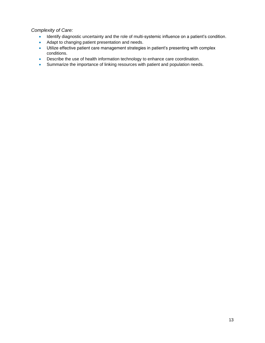#### *Complexity of Care:*

- Identify diagnostic uncertainty and the role of multi-systemic influence on a patient's condition.
- Adapt to changing patient presentation and needs.
- Utilize effective patient care management strategies in patient's presenting with complex conditions.
- **•** Describe the use of health information technology to enhance care coordination.
- Summarize the importance of linking resources with patient and population needs.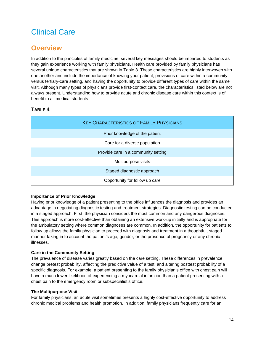## <span id="page-14-0"></span>Clinical Care

## <span id="page-14-1"></span>**Overview**

In addition to the principles of family medicine, several key messages should be imparted to students as they gain experience working with family physicians. Health care provided by family physicians has several unique characteristics that are shown in Table 3. These characteristics are highly interwoven with one another and include the importance of knowing your patient, provisions of care within a community versus tertiary-care setting, and having the opportunity to provide different types of care within the same visit. Although many types of physicians provide first-contact care, the characteristics listed below are not always present. Understanding how to provide acute and chronic disease care within this context is of benefit to all medical students.

#### <span id="page-14-2"></span>**TABLE 4**

| <b>KEY CHARACTERISTICS OF FAMILY PHYSICIANS</b> |  |  |  |
|-------------------------------------------------|--|--|--|
| Prior knowledge of the patient                  |  |  |  |
| Care for a diverse population                   |  |  |  |
| Provide care in a community setting             |  |  |  |
| Multipurpose visits                             |  |  |  |
| Staged diagnostic approach                      |  |  |  |
| Opportunity for follow up care                  |  |  |  |

#### **Importance of Prior Knowledge**

Having prior knowledge of a patient presenting to the office influences the diagnosis and provides an advantage in negotiating diagnostic testing and treatment strategies. Diagnostic testing can be conducted in a staged approach. First, the physician considers the most common and any dangerous diagnoses. This approach is more cost-effective than obtaining an extensive work-up initially and is appropriate for the ambulatory setting where common diagnoses are common. In addition, the opportunity for patients to follow up allows the family physician to proceed with diagnosis and treatment in a thoughtful, staged manner taking in to account the patient's age, gender, or the presence of pregnancy or any chronic illnesses.

#### **Care in the Community Setting**

The prevalence of disease varies greatly based on the care setting. These differences in prevalence change pretest probability, affecting the predictive value of a test, and altering posttest probability of a specific diagnosis. For example, a patient presenting to the family physician's office with chest pain will have a much lower likelihood of experiencing a myocardial infarction than a patient presenting with a chest pain to the emergency room or subspecialist's office.

#### **The Multipurpose Visit**

For family physicians, an acute visit sometimes presents a highly cost-effective opportunity to address chronic medical problems and health promotion. In addition, family physicians frequently care for an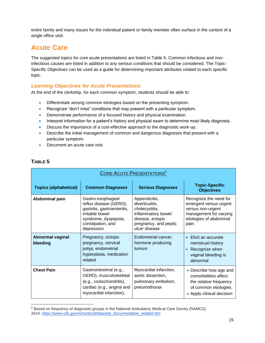entire family and many issues for the individual patient or family member often surface in the context of a single office visit.

## <span id="page-15-0"></span>**Acute Care**

The suggested topics for core acute presentations are listed in Table 5. Common infectious and noninfectious causes are listed in addition to any serious conditions that should be considered. The Topic-Specific Objectives can be used as a guide for determining important attributes related to each specific topic.

#### *Learning Objectives for Acute Presentations*

At the end of the clerkship, for each common symptom, students should be able to:

- Differentiate among common etiologies based on the presenting symptom.
- Recognize "don't miss" conditions that may present with a particular symptom.
- Demonstrate performance of a focused history and physical examination.
- Interpret information for a patient's history and physical exam to determine most likely diagnosis.
- Discuss the importance of a cost-effective approach to the diagnostic work-up.
- Describe the initial management of common and dangerous diagnoses that present with a particular symptom.
- Document an acute care visit.

#### <span id="page-15-1"></span>**TABLE 5**

l

| <b>CORE ACUTE PRESENTATIONS<sup>2</sup></b> |                                                                                                                                                          |                                                                                                                                        |                                                                                                                                     |  |
|---------------------------------------------|----------------------------------------------------------------------------------------------------------------------------------------------------------|----------------------------------------------------------------------------------------------------------------------------------------|-------------------------------------------------------------------------------------------------------------------------------------|--|
| <b>Topics (alphabetical)</b>                | <b>Common Diagnoses</b>                                                                                                                                  | <b>Serious Diagnoses</b>                                                                                                               | <b>Topic-Specific</b><br><b>Objectives</b>                                                                                          |  |
| Abdominal pain                              | Gastro-esophageal<br>reflux disease (GERD),<br>gastritis, gastroenteritis,<br>irritable bowel<br>syndrome, dyspepsia,<br>constipation, and<br>depression | Appendicitis,<br>diverticulitis,<br>cholecystitis,<br>inflammatory bowel<br>disease, ectopic<br>pregnancy, and peptic<br>ulcer disease | Recognize the need for<br>emergent versus urgent<br>versus non-urgent<br>management for varying<br>etiologies of abdominal<br>pain. |  |
| <b>Abnormal vaginal</b><br>bleeding         | Pregnancy, ectopic<br>pregnancy, cervical<br>polyp, endometrial<br>hyperplasia, medication<br>related                                                    | Endometrial cancer,<br>hormone producing<br>tumors                                                                                     | Elicit an accurate<br>menstrual history<br>Recognize when<br>vaginal bleeding is<br>abnormal                                        |  |
| <b>Chest Pain</b>                           | Gastrointestinal (e.g.,<br>GERD), musculoskeletal<br>(e.g., costochondritis),<br>cardiac (e.g., angina and<br>myocardial infarction),                    | Myocardial infarction,<br>aortic dissection,<br>pulmonary embolism,<br>pneumothorax                                                    | • Describe how age and<br>comorbidities affect<br>the relative frequency<br>of common etiologies.<br>• Apply clinical decision      |  |

<sup>2</sup> Based on frequency of diagnostic groups in the National Ambulatory Medical Care Survey (NAMCS) 2014. [https://www.cdc.gov/nchs/ahcd/datasets\\_documentation\\_related.htm](https://na01.safelinks.protection.outlook.com/?url=https%3A%2F%2Fwww.cdc.gov%2Fnchs%2Fahcd%2Fdatasets_documentation_related.htm&data=02%7C01%7CRutterA%40amc.edu%7Cfa5c76cddfc6410d242908d577a16dbd%7Cc04845f042244637aed29beea8319b5b%7C0%7C0%7C636546458723815966&sdata=VdWZdZJZgkMbwXQNZwDh2Jcf0Aves5bPot4ld3FvYWo%3D&reserved=0)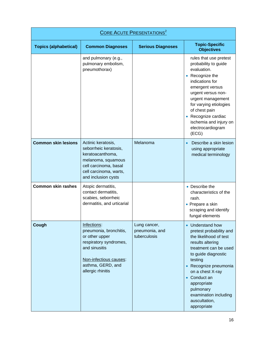| <b>CORE ACUTE PRESENTATIONS<sup>2</sup></b> |                                                                                                                                                                        |                                                |                                                                                                                                                                                                                                                                                                                                         |
|---------------------------------------------|------------------------------------------------------------------------------------------------------------------------------------------------------------------------|------------------------------------------------|-----------------------------------------------------------------------------------------------------------------------------------------------------------------------------------------------------------------------------------------------------------------------------------------------------------------------------------------|
| <b>Topics (alphabetical)</b>                | <b>Common Diagnoses</b>                                                                                                                                                | <b>Serious Diagnoses</b>                       | <b>Topic-Specific</b><br><b>Objectives</b>                                                                                                                                                                                                                                                                                              |
|                                             | and pulmonary (e.g.,<br>pulmonary embolism,<br>pneumothorax)                                                                                                           |                                                | rules that use pretest<br>probability to guide<br>evaluation.<br>Recognize the<br>$\bullet$<br>indications for<br>emergent versus<br>urgent versus non-<br>urgent management<br>for varying etiologies<br>of chest pain<br>Recognize cardiac<br>ischemia and injury on<br>electrocardiogram<br>(ECG)                                    |
| <b>Common skin lesions</b>                  | Actinic keratosis,<br>seborrheic keratosis,<br>keratoacanthoma,<br>melanoma, squamous<br>cell carcinoma, basal<br>cell carcinoma, warts,<br>and inclusion cysts        | Melanoma                                       | Describe a skin lesion<br>using appropriate<br>medical terminology                                                                                                                                                                                                                                                                      |
| <b>Common skin rashes</b>                   | Atopic dermatitis,<br>contact dermatitis,<br>scabies, seborrheic<br>dermatitis, and urticarial                                                                         |                                                | • Describe the<br>characteristics of the<br>rash.<br>• Prepare a skin<br>scraping and identify<br>fungal elements                                                                                                                                                                                                                       |
| Cough                                       | Infections:<br>pneumonia, bronchitis,<br>or other upper<br>respiratory syndromes,<br>and sinusitis<br>Non-infectious causes:<br>asthma, GERD, and<br>allergic rhinitis | Lung cancer,<br>pneumonia, and<br>tuberculosis | Understand how<br>$\bullet$<br>pretest probability and<br>the likelihood of test<br>results altering<br>treatment can be used<br>to guide diagnostic<br>testing<br>Recognize pneumonia<br>$\bullet$<br>on a chest X-ray<br>Conduct an<br>$\bullet$<br>appropriate<br>pulmonary<br>examination including<br>auscultation,<br>appropriate |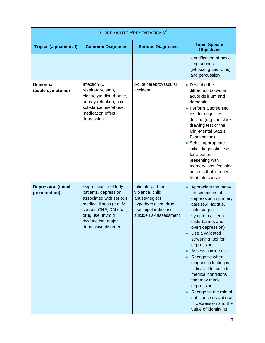| <b>CORE ACUTE PRESENTATIONS</b> <sup>2</sup> |                                                                                                                                                                                                   |                                                                                                                                   |                                                                                                                                                                                                                                                                                                                                                                                                                                                                                         |  |
|----------------------------------------------|---------------------------------------------------------------------------------------------------------------------------------------------------------------------------------------------------|-----------------------------------------------------------------------------------------------------------------------------------|-----------------------------------------------------------------------------------------------------------------------------------------------------------------------------------------------------------------------------------------------------------------------------------------------------------------------------------------------------------------------------------------------------------------------------------------------------------------------------------------|--|
| <b>Topics (alphabetical)</b>                 | <b>Common Diagnoses</b>                                                                                                                                                                           | <b>Serious Diagnoses</b>                                                                                                          | <b>Topic-Specific</b><br><b>Objectives</b>                                                                                                                                                                                                                                                                                                                                                                                                                                              |  |
|                                              |                                                                                                                                                                                                   |                                                                                                                                   | identification of basic<br>lung sounds<br>(wheezing and rales)<br>and percussion                                                                                                                                                                                                                                                                                                                                                                                                        |  |
| <b>Dementia</b><br>(acute symptoms)          | Infection (UTI,<br>respiratory, etc.),<br>electrolyte disturbance,<br>urinary retention, pain,<br>substance use/abuse,<br>medication effect,<br>depression                                        | Acute cerebrovascular<br>accident                                                                                                 | • Describe the<br>difference between<br>acute delirium and<br>dementia<br>• Perform a screening<br>test for cognitive<br>decline (e.g. the clock<br>drawing test or the<br><b>Mini-Mental Status</b><br>Examination)<br>• Select appropriate<br>initial diagnostic tests<br>for a patient<br>presenting with<br>memory loss, focusing<br>on tests that identify<br>treatable causes                                                                                                     |  |
| <b>Depression (initial</b><br>presentation)  | Depression in elderly<br>patients, depression<br>associated with serious<br>medical illness (e.g. MI,<br>cancer, CHF, DM etc.),<br>drug use, thyroid<br>dysfunction, major<br>depressive disorder | Intimate partner<br>violence, child<br>abuse/neglect,<br>hypothyroidism, drug<br>use, bipolar disease,<br>suicide risk assessment | Appreciate the many<br>presentations of<br>depression in primary<br>care (e.g. fatigue,<br>pain, vague<br>symptoms, sleep<br>disturbance, and<br>overt depression)<br>Use a validated<br>$\bullet$<br>screening tool for<br>depression<br>Assess suicide risk<br>Recognize when<br>diagnostic testing is<br>indicated to exclude<br>medical conditions<br>that may mimic<br>depression<br>Recognize the role of<br>substance use/abuse<br>in depression and the<br>value of identifying |  |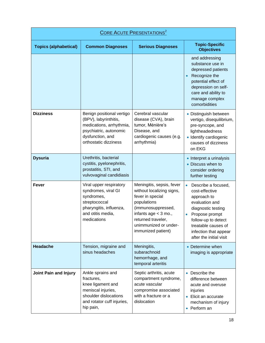| <b>CORE ACUTE PRESENTATIONS</b> <sup>2</sup> |                                                                                                                                                       |                                                                                                                                                                                                                |                                                                                                                                                                                                                               |  |
|----------------------------------------------|-------------------------------------------------------------------------------------------------------------------------------------------------------|----------------------------------------------------------------------------------------------------------------------------------------------------------------------------------------------------------------|-------------------------------------------------------------------------------------------------------------------------------------------------------------------------------------------------------------------------------|--|
| <b>Topics (alphabetical)</b>                 | <b>Common Diagnoses</b>                                                                                                                               | <b>Serious Diagnoses</b>                                                                                                                                                                                       | <b>Topic-Specific</b><br><b>Objectives</b>                                                                                                                                                                                    |  |
|                                              |                                                                                                                                                       |                                                                                                                                                                                                                | and addressing<br>substance use in<br>depressed patients<br>Recognize the<br>potential effect of<br>depression on self-<br>care and ability to<br>manage complex<br>comorbidities                                             |  |
| <b>Dizziness</b>                             | Benign positional vertigo<br>(BPV), labyrinthitis,<br>medications, arrhythmia,<br>psychiatric, autonomic<br>dysfunction, and<br>orthostatic dizziness | Cerebral vascular<br>disease (CVA), brain<br>tumor, Ménière's<br>Disease, and<br>cardiogenic causes (e.g.<br>arrhythmia)                                                                                       | • Distinguish between<br>vertigo, disequilibrium,<br>pre-syncope, and<br>lightheadedness<br>· Identify cardiogenic<br>causes of dizziness<br>on EKG                                                                           |  |
| <b>Dysuria</b>                               | Urethritis, bacterial<br>cystitis, pyelonephritis,<br>prostatitis, STI, and<br>vulvovaginal candidiasis                                               |                                                                                                                                                                                                                | • Interpret a urinalysis<br>• Discuss when to<br>consider ordering<br>further testing                                                                                                                                         |  |
| Fever                                        | Viral upper respiratory<br>syndromes, viral GI<br>syndromes,<br>streptococcal<br>pharyngitis, influenza,<br>and otitis media,<br>medications          | Meningitis, sepsis, fever<br>without localizing signs,<br>fever in special<br>populations<br>(immunosuppressed,<br>infants $age < 3$ mo.,<br>returned traveler.<br>unimmunized or under-<br>immunized patient) | Describe a focused,<br>cost-effective<br>approach to<br>evaluation and<br>diagnostic testing<br>Propose prompt<br>$\bullet$<br>follow-up to detect<br>treatable causes of<br>infection that appear<br>after the initial visit |  |
| <b>Headache</b>                              | Tension, migraine and<br>sinus headaches                                                                                                              | Meningitis,<br>subarachnoid<br>hemorrhage, and<br>temporal arteritis                                                                                                                                           | • Determine when<br>imaging is appropriate                                                                                                                                                                                    |  |
| <b>Joint Pain and Injury</b>                 | Ankle sprains and<br>fractures,<br>knee ligament and<br>meniscal injuries,<br>shoulder dislocations<br>and rotator cuff injuries,<br>hip pain,        | Septic arthritis, acute<br>compartment syndrome,<br>acute vascular<br>compromise associated<br>with a fracture or a<br>dislocation                                                                             | • Describe the<br>difference between<br>acute and overuse<br>injuries<br>• Elicit an accurate<br>mechanism of injury<br>• Perform an                                                                                          |  |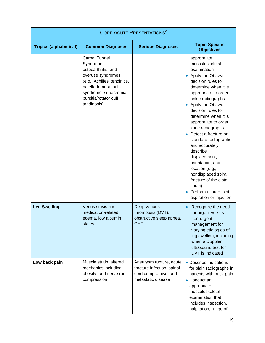| <b>CORE ACUTE PRESENTATIONS</b> <sup>2</sup> |                                                                                                                                                                                                 |                                                                                                     |                                                                                                                                                                                                                                                                                                                                                                                                                                                                                                                                                          |  |
|----------------------------------------------|-------------------------------------------------------------------------------------------------------------------------------------------------------------------------------------------------|-----------------------------------------------------------------------------------------------------|----------------------------------------------------------------------------------------------------------------------------------------------------------------------------------------------------------------------------------------------------------------------------------------------------------------------------------------------------------------------------------------------------------------------------------------------------------------------------------------------------------------------------------------------------------|--|
| <b>Topics (alphabetical)</b>                 | <b>Common Diagnoses</b>                                                                                                                                                                         | <b>Serious Diagnoses</b>                                                                            | <b>Topic-Specific</b><br><b>Objectives</b>                                                                                                                                                                                                                                                                                                                                                                                                                                                                                                               |  |
|                                              | Carpal Tunnel<br>Syndrome,<br>osteoarthritis, and<br>overuse syndromes<br>(e.g., Achilles' tendinitis,<br>patella-femoral pain<br>syndrome, subacromial<br>bursitis/rotator cuff<br>tendinosis) |                                                                                                     | appropriate<br>musculoskeletal<br>examination<br>Apply the Ottawa<br>$\bullet$<br>decision rules to<br>determine when it is<br>appropriate to order<br>ankle radiographs<br>Apply the Ottawa<br>$\bullet$<br>decision rules to<br>determine when it is<br>appropriate to order<br>knee radiographs<br>Detect a fracture on<br>standard radiographs<br>and accurately<br>describe<br>displacement,<br>orientation, and<br>location (e.g.,<br>nondisplaced spiral<br>fracture of the distal<br>fibula)<br>Perform a large joint<br>aspiration or injection |  |
| <b>Leg Swelling</b>                          | Venus stasis and<br>medication-related<br>edema, low albumin<br>states                                                                                                                          | Deep venous<br>thrombosis (DVT),<br>obstructive sleep apnea,<br><b>CHF</b>                          | Recognize the need<br>for urgent versus<br>non-urgent<br>management for<br>varying etiologies of<br>leg swelling, including<br>when a Doppler<br>ultrasound test for<br><b>DVT</b> is indicated                                                                                                                                                                                                                                                                                                                                                          |  |
| Low back pain                                | Muscle strain, altered<br>mechanics including<br>obesity, and nerve root<br>compression                                                                                                         | Aneurysm rupture, acute<br>fracture infection, spinal<br>cord compromise, and<br>metastatic disease | • Describe indications<br>for plain radiographs in<br>patients with back pain<br>• Conduct an<br>appropriate<br>musculoskeletal<br>examination that<br>includes inspection,<br>palpitation, range of                                                                                                                                                                                                                                                                                                                                                     |  |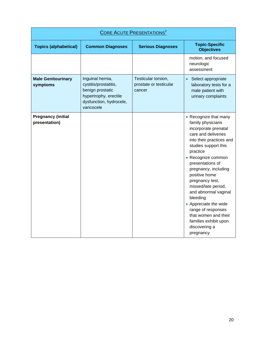| <b>CORE ACUTE PRESENTATIONS<sup>2</sup></b> |                                                                                                                                 |                                                         |                                                                                                                                                                                                                                                                                                                                                                                                                                                          |  |
|---------------------------------------------|---------------------------------------------------------------------------------------------------------------------------------|---------------------------------------------------------|----------------------------------------------------------------------------------------------------------------------------------------------------------------------------------------------------------------------------------------------------------------------------------------------------------------------------------------------------------------------------------------------------------------------------------------------------------|--|
| <b>Topics (alphabetical)</b>                | <b>Common Diagnoses</b>                                                                                                         | <b>Serious Diagnoses</b>                                | <b>Topic-Specific</b><br><b>Objectives</b>                                                                                                                                                                                                                                                                                                                                                                                                               |  |
|                                             |                                                                                                                                 |                                                         | motion, and focused<br>neurologic<br>assessment                                                                                                                                                                                                                                                                                                                                                                                                          |  |
| <b>Male Genitourinary</b><br>symptoms       | Inguinal hernia,<br>cystitis/prostatitis,<br>benign prostatic<br>hypertrophy, erectile<br>dysfunction, hydrocele,<br>varicocele | Testicular torsion,<br>prostate or testicular<br>cancer | Select appropriate<br>laboratory tests for a<br>male patient with<br>urinary complaints                                                                                                                                                                                                                                                                                                                                                                  |  |
| <b>Pregnancy (initial</b><br>presentation)  |                                                                                                                                 |                                                         | • Recognize that many<br>family physicians<br>incorporate prenatal<br>care and deliveries<br>into their practices and<br>studies support this<br>practice<br>• Recognize common<br>presentations of<br>pregnancy, including<br>positive home<br>pregnancy test,<br>missed/late period,<br>and abnormal vaginal<br>bleeding<br>• Appreciate the wide<br>range of responses<br>that women and their<br>families exhibit upon<br>discovering a<br>pregnancy |  |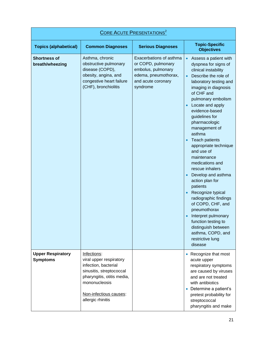| <b>CORE ACUTE PRESENTATIONS</b> <sup>2</sup> |                                                                                                                                                                                          |                                                                                                                               |                                                                                                                                                                                                                                                                                                                                                                                                                                                                                                                                                                                                                                                                                                                      |  |
|----------------------------------------------|------------------------------------------------------------------------------------------------------------------------------------------------------------------------------------------|-------------------------------------------------------------------------------------------------------------------------------|----------------------------------------------------------------------------------------------------------------------------------------------------------------------------------------------------------------------------------------------------------------------------------------------------------------------------------------------------------------------------------------------------------------------------------------------------------------------------------------------------------------------------------------------------------------------------------------------------------------------------------------------------------------------------------------------------------------------|--|
| <b>Topics (alphabetical)</b>                 | <b>Common Diagnoses</b>                                                                                                                                                                  | <b>Serious Diagnoses</b>                                                                                                      | <b>Topic-Specific</b><br><b>Objectives</b>                                                                                                                                                                                                                                                                                                                                                                                                                                                                                                                                                                                                                                                                           |  |
| <b>Shortness of</b><br>breath/wheezing       | Asthma, chronic<br>obstructive pulmonary<br>disease (COPD),<br>obesity, angina, and<br>congestive heart failure<br>(CHF), bronchiolitis                                                  | Exacerbations of asthma<br>or COPD, pulmonary<br>embolus, pulmonary<br>edema, pneumothorax,<br>and acute coronary<br>syndrome | Assess a patient with<br>$\bullet$<br>dyspnea for signs of<br>clinical instability<br>Describe the role of<br>$\bullet$<br>laboratory testing and<br>imaging in diagnosis<br>of CHF and<br>pulmonary embolism<br>Locate and apply<br>$\bullet$<br>evidence-based<br>guidelines for<br>pharmacologic<br>management of<br>asthma<br><b>Teach patients</b><br>appropriate technique<br>and use of<br>maintenance<br>medications and<br>rescue inhalers<br>Develop and asthma<br>action plan for<br>patients<br>Recognize typical<br>radiographic findings<br>of COPD, CHF, and<br>pneumothorax<br>Interpret pulmonary<br>function testing to<br>distinguish between<br>asthma, COPD, and<br>restrictive lung<br>disease |  |
| <b>Upper Respiratory</b><br><b>Symptoms</b>  | Infections:<br>viral upper respiratory<br>infection, bacterial<br>sinusitis, streptococcal<br>pharyngitis, otitis media,<br>mononucleosis<br>Non-infectious causes:<br>allergic rhinitis |                                                                                                                               | Recognize that most<br>acute upper<br>respiratory symptoms<br>are caused by viruses<br>and are not treated<br>with antibiotics<br>Determine a patient's<br>$\bullet$<br>pretest probability for<br>streptococcal<br>pharyngitis and make                                                                                                                                                                                                                                                                                                                                                                                                                                                                             |  |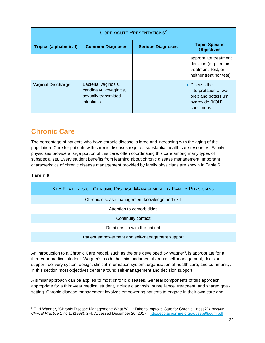| <b>CORE ACUTE PRESENTATIONS<sup>2</sup></b> |                                                                                       |                          |                                                                                                    |  |
|---------------------------------------------|---------------------------------------------------------------------------------------|--------------------------|----------------------------------------------------------------------------------------------------|--|
| <b>Topics (alphabetical)</b>                | <b>Common Diagnoses</b>                                                               | <b>Serious Diagnoses</b> | <b>Topic-Specific</b><br><b>Objectives</b>                                                         |  |
|                                             |                                                                                       |                          | appropriate treatment<br>decision (e.g., empiric<br>treatment, test, or<br>neither treat nor test) |  |
| <b>Vaginal Discharge</b>                    | Bacterial vaginosis,<br>candida vulvovaginitis,<br>sexually transmitted<br>infections |                          | • Discuss the<br>interpretation of wet<br>prep and potassium<br>hydroxide (KOH)<br>specimens       |  |

## <span id="page-22-0"></span>**Chronic Care**

The percentage of patients who have chronic disease is large and increasing with the aging of the population. Care for patients with chronic diseases requires substantial health care resources. Family physicians provide a large portion of this care, often coordinating this care among many types of subspecialists. Every student benefits from learning about chronic disease management. Important characteristics of chronic disease management provided by family physicians are shown in Table 6.

#### <span id="page-22-1"></span>**TABLE 6**

| <b>KEY FEATURES OF CHRONIC DISEASE MANAGEMENT BY FAMILY PHYSICIANS</b> |  |  |
|------------------------------------------------------------------------|--|--|
| Chronic disease management knowledge and skill                         |  |  |
| Attention to comorbidities                                             |  |  |
| Continuity context                                                     |  |  |
| Relationship with the patient                                          |  |  |
| Patient empowerment and self-management support                        |  |  |

An introduction to a Chronic Care Model, such as the one developed by Wagner<sup>3</sup>, is appropriate for a third-year medical student. Wagner's model has six fundamental areas: self-management, decision support, delivery system design, clinical information system, organization of health care, and community. In this section most objectives center around self-management and decision support.

A similar approach can be applied to most chronic diseases. General components of this approach, appropriate for a third-year medical student, include diagnosis, surveillance, treatment, and shared goalsetting. Chronic disease management involves empowering patients to engage in their own care and

l <sup>3</sup> E. H Wagner, "Chronic Disease Management: What Will It Take to Improve Care for Chronic Illness?" *Effective Clinical Practice* 1 no 1. (1998): 2-4. Accessed December 20, 2017.<http://ecp.acponline.org/augsep98/cdm.pdf>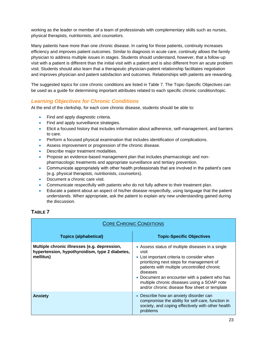working as the leader or member of a team of professionals with complementary skills such as nurses, physical therapists, nutritionists, and counselors.

Many patients have more than one chronic disease. In caring for those patients, continuity increases efficiency and improves patient outcomes. Similar to diagnosis in acute care, continuity allows the family physician to address multiple issues in stages. Students should understand, however, that a follow-up visit with a patient is different than the initial visit with a patient and is also different from an acute problem visit. Students should also learn that a therapeutic physician-patient relationship facilitates negotiation and improves physician and patient satisfaction and outcomes. Relationships with patients are rewarding.

The suggested topics for core chronic conditions are listed in Table 7. The Topic-Specific Objectives can be used as a guide for determining important attributes related to each specific chronic condition/topic.

#### *Learning Objectives for Chronic Conditions*

At the end of the clerkship, for each core chronic disease, students should be able to:

- Find and apply diagnostic criteria.
- Find and apply surveillance strategies.
- Elicit a focused history that includes information about adherence, self-management, and barriers to care.
- **Perform a focused physical examination that includes identification of complications.**
- Assess improvement or progression of the chronic disease.
- Describe major treatment modalities.
- Propose an evidence-based management plan that includes pharmacologic and nonpharmacologic treatments and appropriate surveillance and tertiary prevention.
- Communicate appropriately with other health professionals that are involved in the patient's care (e.g. physical therapists, nutritionists, counselors).
- Document a chronic care visit.
- Communicate respectfully with patients who do not fully adhere to their treatment plan.
- Educate a patient about an aspect of his/her disease respectfully, using language that the patient understands. When appropriate, ask the patient to explain any new understanding gained during the discussion.

#### <span id="page-23-0"></span>**TABLE 7**

| <b>CORE CHRONIC CONDITIONS</b>                                                                              |                                                                                                                                                                                                                                                                                                                                                                   |  |
|-------------------------------------------------------------------------------------------------------------|-------------------------------------------------------------------------------------------------------------------------------------------------------------------------------------------------------------------------------------------------------------------------------------------------------------------------------------------------------------------|--|
| <b>Topics (alphabetical)</b>                                                                                | <b>Topic-Specific Objectives</b>                                                                                                                                                                                                                                                                                                                                  |  |
| Multiple chronic illnesses (e.g. depression,<br>hypertension, hypothyroidism, type 2 diabetes,<br>mellitus) | • Assess status of multiple diseases in a single<br>visit<br>• List important criteria to consider when<br>prioritizing next steps for management of<br>patients with multiple uncontrolled chronic<br>diseases<br>• Document an encounter with a patient who has<br>multiple chronic diseases using a SOAP note<br>and/or chronic disease flow sheet or template |  |
| <b>Anxiety</b>                                                                                              | • Describe how an anxiety disorder can<br>compromise the ability for self-care, function in<br>society, and coping effectively with other health<br>problems                                                                                                                                                                                                      |  |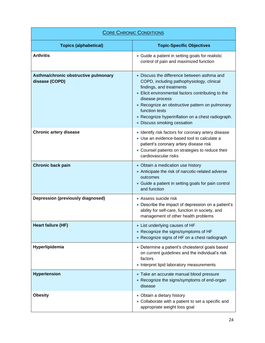| <b>CORE CHRONIC CONDITIONS</b>                         |                                                                                                                                                                                                                                                                                                                                                        |  |
|--------------------------------------------------------|--------------------------------------------------------------------------------------------------------------------------------------------------------------------------------------------------------------------------------------------------------------------------------------------------------------------------------------------------------|--|
| <b>Topics (alphabetical)</b>                           | <b>Topic-Specific Objectives</b>                                                                                                                                                                                                                                                                                                                       |  |
| <b>Arthritis</b>                                       | • Guide a patient in setting goals for realistic<br>control of pain and maximized function                                                                                                                                                                                                                                                             |  |
| Asthma/chronic obstructive pulmonary<br>disease (COPD) | • Discuss the difference between asthma and<br>COPD, including pathophysiology, clinical<br>findings, and treatments<br>• Elicit environmental factors contributing to the<br>disease process<br>• Recognize an obstructive pattern on pulmonary<br>function tests<br>• Recognize hyperinflation on a chest radiograph.<br>• Discuss smoking cessation |  |
| <b>Chronic artery disease</b>                          | • Identify risk factors for coronary artery disease<br>• Use an evidence-based tool to calculate a<br>patient's coronary artery disease risk<br>• Counsel patients on strategies to reduce their<br>cardiovascular risks                                                                                                                               |  |
| <b>Chronic back pain</b>                               | • Obtain a medication use history<br>• Anticipate the risk of narcotic-related adverse<br>outcomes<br>• Guide a patient in setting goals for pain control<br>and function                                                                                                                                                                              |  |
| <b>Depression (previously diagnosed)</b>               | • Assess suicide risk<br>• Describe the impact of depression on a patient's<br>ability for self-care, function in society, and<br>management of other health problems                                                                                                                                                                                  |  |
| Heart failure (HF)                                     | • List underlying causes of HF<br>• Recognize the signs/symptoms of HF<br>• Recognize signs of HF on a chest radiograph                                                                                                                                                                                                                                |  |
| Hyperlipidemia                                         | • Determine a patient's cholesterol goals based<br>on current guidelines and the individual's risk<br>factors<br>• Interpret lipid laboratory measurements                                                                                                                                                                                             |  |
| <b>Hypertension</b>                                    | • Take an accurate manual blood pressure<br>• Recognize the signs/symptoms of end-organ<br>disease                                                                                                                                                                                                                                                     |  |
| <b>Obesity</b>                                         | • Obtain a dietary history<br>• Collaborate with a patient to set a specific and<br>appropriate weight loss goal                                                                                                                                                                                                                                       |  |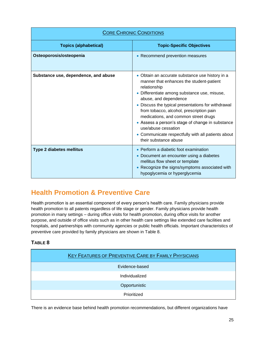| <b>CORE CHRONIC CONDITIONS</b>       |                                                                                                                                                                                                                                                                                                                                                                                                                                                                                          |  |
|--------------------------------------|------------------------------------------------------------------------------------------------------------------------------------------------------------------------------------------------------------------------------------------------------------------------------------------------------------------------------------------------------------------------------------------------------------------------------------------------------------------------------------------|--|
| <b>Topics (alphabetical)</b>         | <b>Topic-Specific Objectives</b>                                                                                                                                                                                                                                                                                                                                                                                                                                                         |  |
| Osteoporosis/osteopenia              | • Recommend prevention measures                                                                                                                                                                                                                                                                                                                                                                                                                                                          |  |
| Substance use, dependence, and abuse | • Obtain an accurate substance use history in a<br>manner that enhances the student-patient<br>relationship<br>• Differentiate among substance use, misuse,<br>abuse, and dependence<br>• Discuss the typical presentations for withdrawal<br>from tobacco, alcohol, prescription pain<br>medications, and common street drugs<br>• Assess a person's stage of change in substance<br>use/abuse cessation<br>• Communicate respectfully with all patients about<br>their substance abuse |  |
| <b>Type 2 diabetes mellitus</b>      | • Perform a diabetic foot examination<br>• Document an encounter using a diabetes<br>mellitus flow sheet or template<br>• Recognize the signs/symptoms associated with<br>hypoglycemia or hyperglycemia                                                                                                                                                                                                                                                                                  |  |

## <span id="page-25-0"></span>**Health Promotion & Preventive Care**

Health promotion is an essential component of every person's health care. Family physicians provide health promotion to all patents regardless of life stage or gender. Family physicians provide health promotion in many settings – during office visits for health promotion, during office visits for another purpose, and outside of office visits such as in other health care settings like extended care facilities and hospitals, and partnerships with community agencies or public health officials. Important characteristics of preventive care provided by family physicians are shown in Table 8.

#### <span id="page-25-1"></span>**TABLE 8**

| <b>KEY FEATURES OF PREVENTIVE CARE BY FAMILY PHYSICIANS</b> |  |  |
|-------------------------------------------------------------|--|--|
| Evidence-based                                              |  |  |
| Individualized                                              |  |  |
| Opportunistic                                               |  |  |
| Prioritized                                                 |  |  |

There is an evidence base behind health promotion recommendations, but different organizations have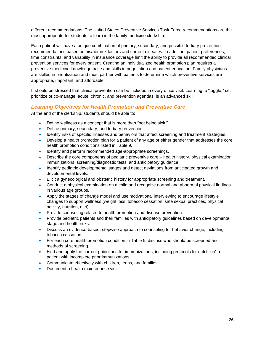different recommendations. The United States Preventive Services Task Force recommendations are the most appropriate for students to learn in the family medicine clerkship.

Each patient will have a unique combination of primary, secondary, and possible tertiary prevention recommendations based on his/her risk factors and current diseases. In addition, patient preferences, time constraints, and variability in insurance coverage limit the ability to provide all recommended clinical prevention services for every patient. Creating an individualized health promotion plan requires a preventive medicine knowledge base and skills in negotiation and patient education. Family physicians are skilled in prioritization and must partner with patients to determine which preventive services are appropriate, important, and affordable.

It should be stressed that clinical prevention can be included in every office visit. Learning to "juggle," i.e. prioritize or co-manage, acute, chronic, and prevention agendas, is an advanced skill.

#### *Learning Objectives for Health Promotion and Preventive Care*

At the end of the clerkship, students should be able to:

- Define wellness as a concept that is more than "not being sick."
- Define primary, secondary, and tertiary prevention.
- Identify risks of specific illnesses and behaviors that affect screening and treatment strategies.
- Develop a health promotion plan for a patient of any age or either gender that addresses the core health promotion conditions listed in Table 9.
- Identify and perform recommended age-appropriate screenings.
- Describe the core components of pediatric preventive care health history, physical examination, immunizations, screening/diagnostic tests, and anticipatory guidance.
- Identify pediatric developmental stages and detect deviations from anticipated growth and developmental levels.
- Elicit a gynecological and obstetric history for appropriate screening and treatment.
- Conduct a physical examination on a child and recognize normal and abnormal physical findings in various age groups.
- Apply the stages of change model and use motivational interviewing to encourage lifestyle changes to support wellness (weight loss, tobacco cessation, safe sexual practices, physical activity, nutrition, diet).
- Provide counseling related to health promotion and disease prevention.
- Provide pediatric patients and their families with anticipatory guidelines based on developmental stage and health risks.
- Discuss an evidence-based, stepwise approach to counseling for behavior change, including tobacco cessation.
- For each core health promotion condition in Table 9, discuss who should be screened and methods of screening.
- Find and apply the current guidelines for immunizations, including protocols to "catch-up" a patient with incomplete prior immunizations.
- Communicate effectively with children, teens, and families.
- Document a health maintenance visit.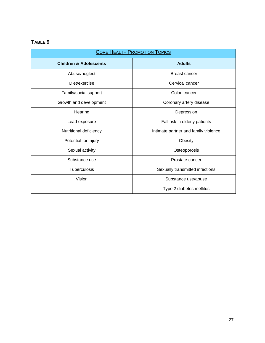### <span id="page-27-0"></span>**TABLE 9**

| <b>CORE HEALTH PROMOTION TOPICS</b> |                                      |  |
|-------------------------------------|--------------------------------------|--|
| <b>Children &amp; Adolescents</b>   | <b>Adults</b>                        |  |
| Abuse/neglect                       | Breast cancer                        |  |
| Diet/exercise                       | Cervical cancer                      |  |
| Family/social support               | Colon cancer                         |  |
| Growth and development              | Coronary artery disease              |  |
| Hearing                             | Depression                           |  |
| Lead exposure                       | Fall risk in elderly patients        |  |
| Nutritional deficiency              | Intimate partner and family violence |  |
| Potential for injury                | Obesity                              |  |
| Sexual activity                     | Osteoporosis                         |  |
| Substance use                       | Prostate cancer                      |  |
| Tuberculosis                        | Sexually transmitted infections      |  |
| Vision                              | Substance use/abuse                  |  |
|                                     | Type 2 diabetes mellitus             |  |